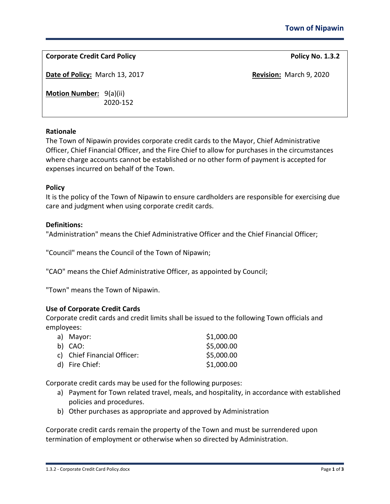| <b>Corporate Credit Card Policy</b>        | Policy No. 1.3.2               |
|--------------------------------------------|--------------------------------|
| Date of Policy: March 13, 2017             | <b>Revision: March 9, 2020</b> |
| <b>Motion Number: 9(a)(ii)</b><br>2020-152 |                                |

## **Rationale**

The Town of Nipawin provides corporate credit cards to the Mayor, Chief Administrative Officer, Chief Financial Officer, and the Fire Chief to allow for purchases in the circumstances where charge accounts cannot be established or no other form of payment is accepted for expenses incurred on behalf of the Town.

## **Policy**

It is the policy of the Town of Nipawin to ensure cardholders are responsible for exercising due care and judgment when using corporate credit cards.

## **Definitions:**

"Administration" means the Chief Administrative Officer and the Chief Financial Officer;

"Council" means the Council of the Town of Nipawin;

"CAO" means the Chief Administrative Officer, as appointed by Council;

"Town" means the Town of Nipawin.

## **Use of Corporate Credit Cards**

Corporate credit cards and credit limits shall be issued to the following Town officials and employees:

| a) Mayor:                   | \$1,000.00 |
|-----------------------------|------------|
| b) CAO:                     | \$5,000.00 |
| c) Chief Financial Officer: | \$5,000.00 |
| d) Fire Chief:              | \$1,000.00 |

Corporate credit cards may be used for the following purposes:

- a) Payment for Town related travel, meals, and hospitality, in accordance with established policies and procedures.
- b) Other purchases as appropriate and approved by Administration

Corporate credit cards remain the property of the Town and must be surrendered upon termination of employment or otherwise when so directed by Administration.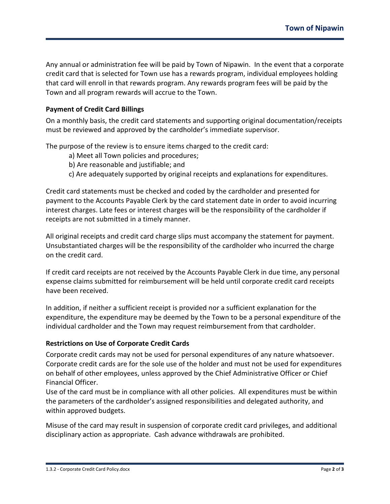Any annual or administration fee will be paid by Town of Nipawin. In the event that a corporate credit card that is selected for Town use has a rewards program, individual employees holding that card will enroll in that rewards program. Any rewards program fees will be paid by the Town and all program rewards will accrue to the Town.

## **Payment of Credit Card Billings**

On a monthly basis, the credit card statements and supporting original documentation/receipts must be reviewed and approved by the cardholder's immediate supervisor.

The purpose of the review is to ensure items charged to the credit card:

- a) Meet all Town policies and procedures;
- b) Are reasonable and justifiable; and
- c) Are adequately supported by original receipts and explanations for expenditures.

Credit card statements must be checked and coded by the cardholder and presented for payment to the Accounts Payable Clerk by the card statement date in order to avoid incurring interest charges. Late fees or interest charges will be the responsibility of the cardholder if receipts are not submitted in a timely manner.

All original receipts and credit card charge slips must accompany the statement for payment. Unsubstantiated charges will be the responsibility of the cardholder who incurred the charge on the credit card.

If credit card receipts are not received by the Accounts Payable Clerk in due time, any personal expense claims submitted for reimbursement will be held until corporate credit card receipts have been received.

In addition, if neither a sufficient receipt is provided nor a sufficient explanation for the expenditure, the expenditure may be deemed by the Town to be a personal expenditure of the individual cardholder and the Town may request reimbursement from that cardholder.

#### **Restrictions on Use of Corporate Credit Cards**

Corporate credit cards may not be used for personal expenditures of any nature whatsoever. Corporate credit cards are for the sole use of the holder and must not be used for expenditures on behalf of other employees, unless approved by the Chief Administrative Officer or Chief Financial Officer.

Use of the card must be in compliance with all other policies. All expenditures must be within the parameters of the cardholder's assigned responsibilities and delegated authority, and within approved budgets.

Misuse of the card may result in suspension of corporate credit card privileges, and additional disciplinary action as appropriate. Cash advance withdrawals are prohibited.